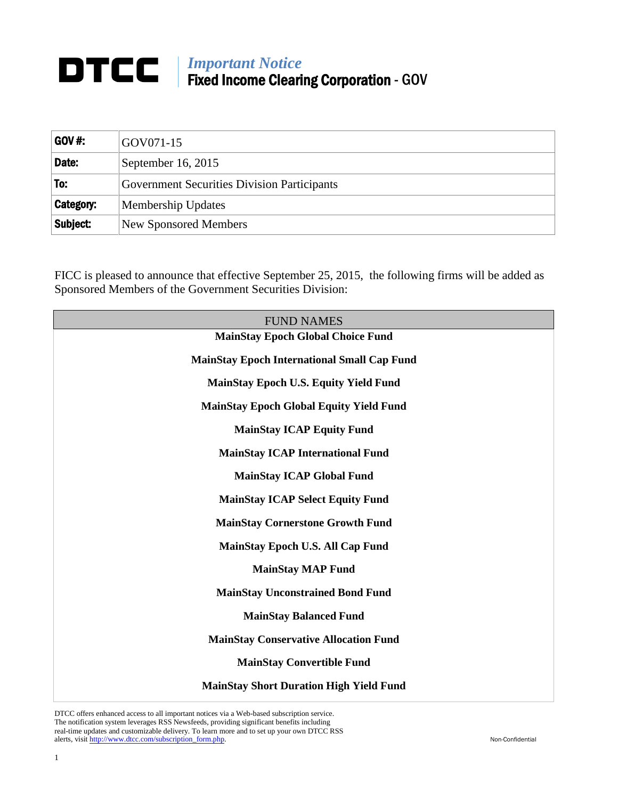## *Important Notice* Fixed Income Clearing Corporation - GOV

| <b>GOV #:</b>    | GOV071-15                                          |
|------------------|----------------------------------------------------|
| Date:            | September 16, 2015                                 |
| 'To:             | <b>Government Securities Division Participants</b> |
| <b>Category:</b> | Membership Updates                                 |
| Subject:         | New Sponsored Members                              |

FICC is pleased to announce that effective September 25, 2015, the following firms will be added as Sponsored Members of the Government Securities Division:

| <b>FUND NAMES</b>                                  |
|----------------------------------------------------|
| <b>MainStay Epoch Global Choice Fund</b>           |
| <b>MainStay Epoch International Small Cap Fund</b> |
| <b>MainStay Epoch U.S. Equity Yield Fund</b>       |
| <b>MainStay Epoch Global Equity Yield Fund</b>     |
| <b>MainStay ICAP Equity Fund</b>                   |
| <b>MainStay ICAP International Fund</b>            |
| <b>MainStay ICAP Global Fund</b>                   |
| <b>MainStay ICAP Select Equity Fund</b>            |
| <b>MainStay Cornerstone Growth Fund</b>            |
| MainStay Epoch U.S. All Cap Fund                   |
| <b>MainStay MAP Fund</b>                           |
| <b>MainStay Unconstrained Bond Fund</b>            |
| <b>MainStay Balanced Fund</b>                      |
| <b>MainStay Conservative Allocation Fund</b>       |
| <b>MainStay Convertible Fund</b>                   |
| <b>MainStay Short Duration High Yield Fund</b>     |

DTCC offers enhanced access to all important notices via a Web-based subscription service. The notification system leverages RSS Newsfeeds, providing significant benefits including real-time updates and customizable delivery. To learn more and to set up your own DTCC RSS alerts, visit [http://www.dtcc.com/subscription\\_form.php.](http://www.dtcc.com/subscription_form.php) Non-Confidential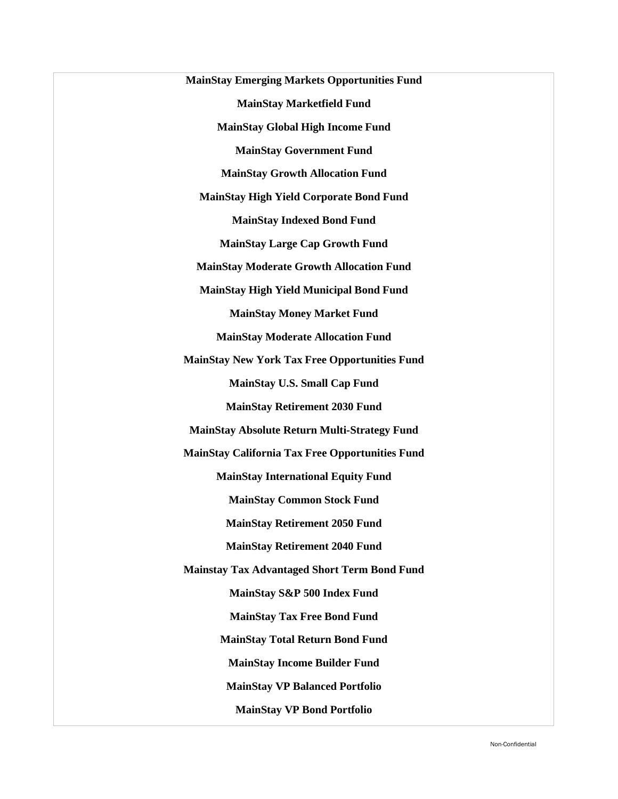**MainStay Emerging Markets Opportunities Fund MainStay Marketfield Fund MainStay Global High Income Fund MainStay Government Fund MainStay Growth Allocation Fund MainStay High Yield Corporate Bond Fund MainStay Indexed Bond Fund MainStay Large Cap Growth Fund MainStay Moderate Growth Allocation Fund MainStay High Yield Municipal Bond Fund MainStay Money Market Fund MainStay Moderate Allocation Fund MainStay New York Tax Free Opportunities Fund MainStay U.S. Small Cap Fund MainStay Retirement 2030 Fund MainStay Absolute Return Multi-Strategy Fund MainStay California Tax Free Opportunities Fund MainStay International Equity Fund MainStay Common Stock Fund MainStay Retirement 2050 Fund MainStay Retirement 2040 Fund Mainstay Tax Advantaged Short Term Bond Fund MainStay S&P 500 Index Fund MainStay Tax Free Bond Fund MainStay Total Return Bond Fund MainStay Income Builder Fund MainStay VP Balanced Portfolio MainStay VP Bond Portfolio**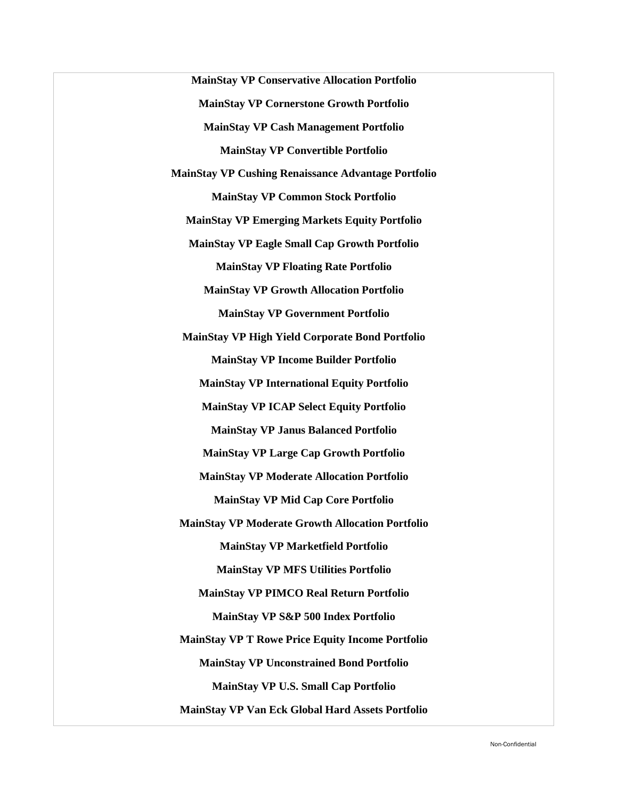**MainStay VP Conservative Allocation Portfolio MainStay VP Cornerstone Growth Portfolio MainStay VP Cash Management Portfolio MainStay VP Convertible Portfolio MainStay VP Cushing Renaissance Advantage Portfolio MainStay VP Common Stock Portfolio MainStay VP Emerging Markets Equity Portfolio MainStay VP Eagle Small Cap Growth Portfolio MainStay VP Floating Rate Portfolio MainStay VP Growth Allocation Portfolio MainStay VP Government Portfolio MainStay VP High Yield Corporate Bond Portfolio MainStay VP Income Builder Portfolio MainStay VP International Equity Portfolio MainStay VP ICAP Select Equity Portfolio MainStay VP Janus Balanced Portfolio MainStay VP Large Cap Growth Portfolio MainStay VP Moderate Allocation Portfolio MainStay VP Mid Cap Core Portfolio MainStay VP Moderate Growth Allocation Portfolio MainStay VP Marketfield Portfolio MainStay VP MFS Utilities Portfolio MainStay VP PIMCO Real Return Portfolio MainStay VP S&P 500 Index Portfolio MainStay VP T Rowe Price Equity Income Portfolio MainStay VP Unconstrained Bond Portfolio MainStay VP U.S. Small Cap Portfolio MainStay VP Van Eck Global Hard Assets Portfolio**